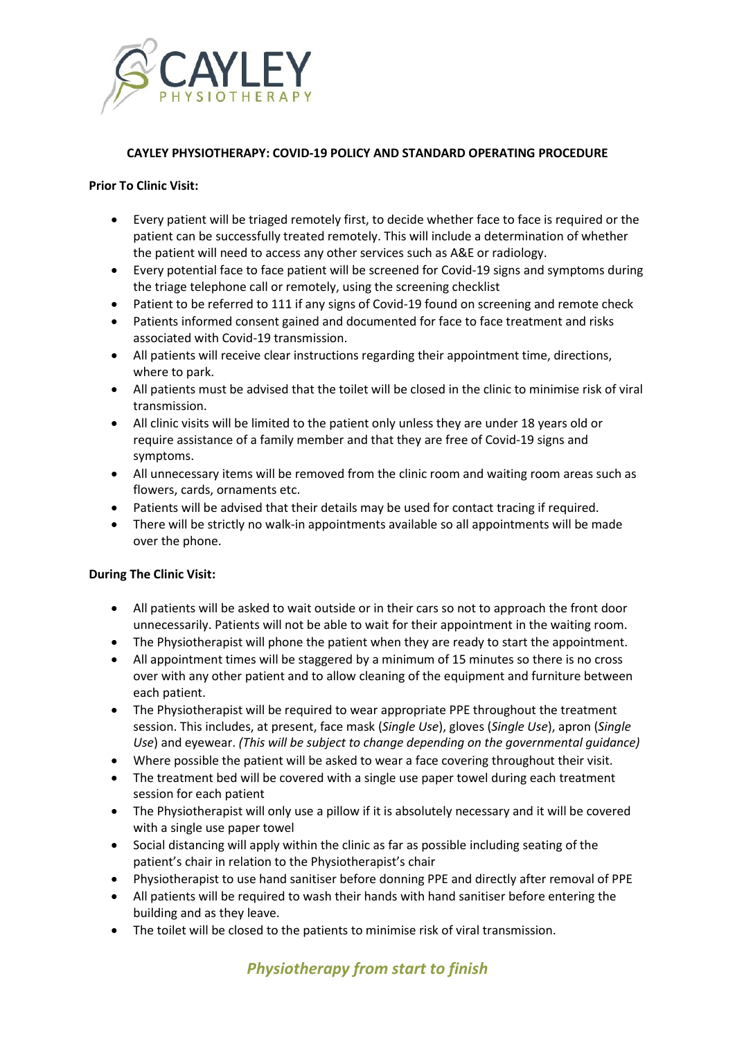

# **CAYLEY PHYSIOTHERAPY: COVID-19 POLICY AND STANDARD OPERATING PROCEDURE**

### **Prior To Clinic Visit:**

- Every patient will be triaged remotely first, to decide whether face to face is required or the patient can be successfully treated remotely. This will include a determination of whether the patient will need to access any other services such as A&E or radiology.
- Every potential face to face patient will be screened for Covid-19 signs and symptoms during the triage telephone call or remotely, using the screening checklist
- Patient to be referred to 111 if any signs of Covid-19 found on screening and remote check
- Patients informed consent gained and documented for face to face treatment and risks associated with Covid-19 transmission.
- All patients will receive clear instructions regarding their appointment time, directions, where to park.
- All patients must be advised that the toilet will be closed in the clinic to minimise risk of viral transmission.
- All clinic visits will be limited to the patient only unless they are under 18 years old or require assistance of a family member and that they are free of Covid-19 signs and symptoms.
- All unnecessary items will be removed from the clinic room and waiting room areas such as flowers, cards, ornaments etc.
- Patients will be advised that their details may be used for contact tracing if required.
- There will be strictly no walk-in appointments available so all appointments will be made over the phone.

#### **During The Clinic Visit:**

- All patients will be asked to wait outside or in their cars so not to approach the front door unnecessarily. Patients will not be able to wait for their appointment in the waiting room.
- The Physiotherapist will phone the patient when they are ready to start the appointment.
- All appointment times will be staggered by a minimum of 15 minutes so there is no cross over with any other patient and to allow cleaning of the equipment and furniture between each patient.
- The Physiotherapist will be required to wear appropriate PPE throughout the treatment session. This includes, at present, face mask (*Single Use*), gloves (*Single Use*), apron (*Single Use*) and eyewear. *(This will be subject to change depending on the governmental guidance)*
- Where possible the patient will be asked to wear a face covering throughout their visit.
- The treatment bed will be covered with a single use paper towel during each treatment session for each patient
- The Physiotherapist will only use a pillow if it is absolutely necessary and it will be covered with a single use paper towel
- Social distancing will apply within the clinic as far as possible including seating of the patient's chair in relation to the Physiotherapist's chair
- Physiotherapist to use hand sanitiser before donning PPE and directly after removal of PPE
- All patients will be required to wash their hands with hand sanitiser before entering the building and as they leave.
- The toilet will be closed to the patients to minimise risk of viral transmission.

# *Physiotherapy from start to finish*